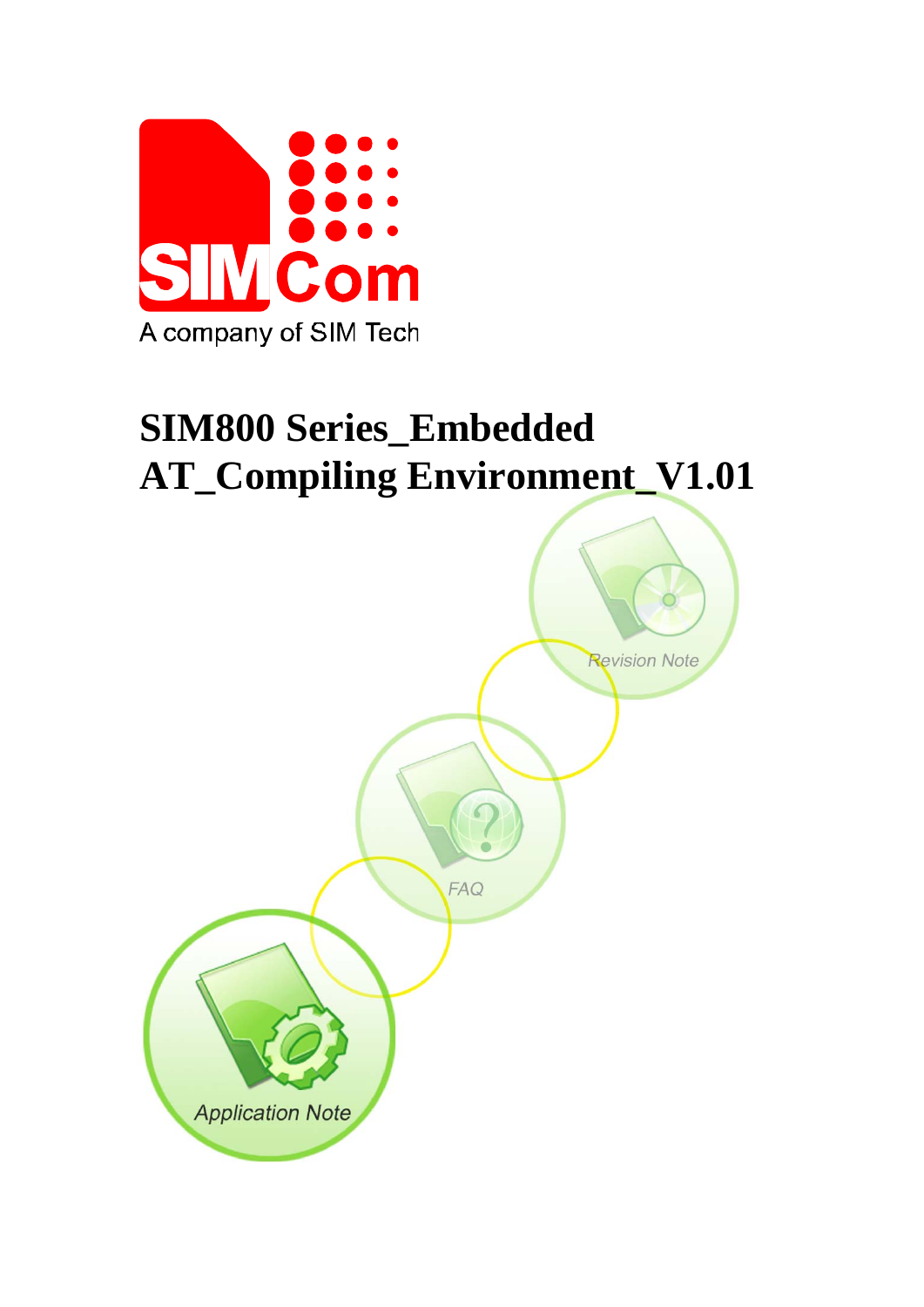

# **SIM800 Series\_Embedded AT\_Compiling Environment\_V1.01**

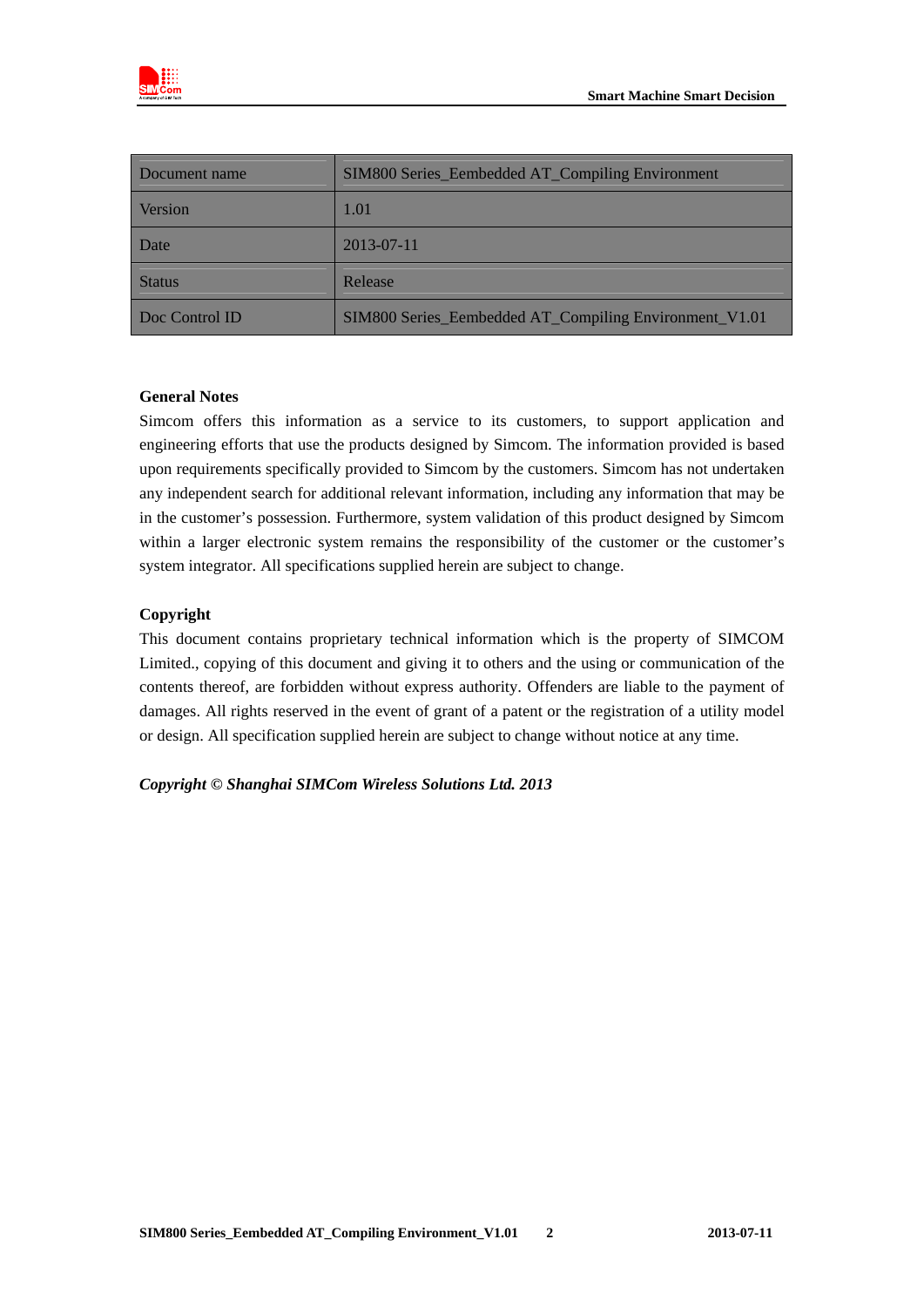

| Document name  | SIM800 Series_Eembedded AT_Compiling Environment       |
|----------------|--------------------------------------------------------|
| Version        | 1.01                                                   |
| Date           | 2013-07-11                                             |
| <b>Status</b>  | Release                                                |
| Doc Control ID | SIM800 Series_Eembedded AT_Compiling Environment_V1.01 |

#### **General Notes**

Simcom offers this information as a service to its customers, to support application and engineering efforts that use the products designed by Simcom. The information provided is based upon requirements specifically provided to Simcom by the customers. Simcom has not undertaken any independent search for additional relevant information, including any information that may be in the customer's possession. Furthermore, system validation of this product designed by Simcom within a larger electronic system remains the responsibility of the customer or the customer's system integrator. All specifications supplied herein are subject to change.

#### **Copyright**

This document contains proprietary technical information which is the property of SIMCOM Limited., copying of this document and giving it to others and the using or communication of the contents thereof, are forbidden without express authority. Offenders are liable to the payment of damages. All rights reserved in the event of grant of a patent or the registration of a utility model or design. All specification supplied herein are subject to change without notice at any time.

#### *Copyright © Shanghai SIMCom Wireless Solutions Ltd. 2013*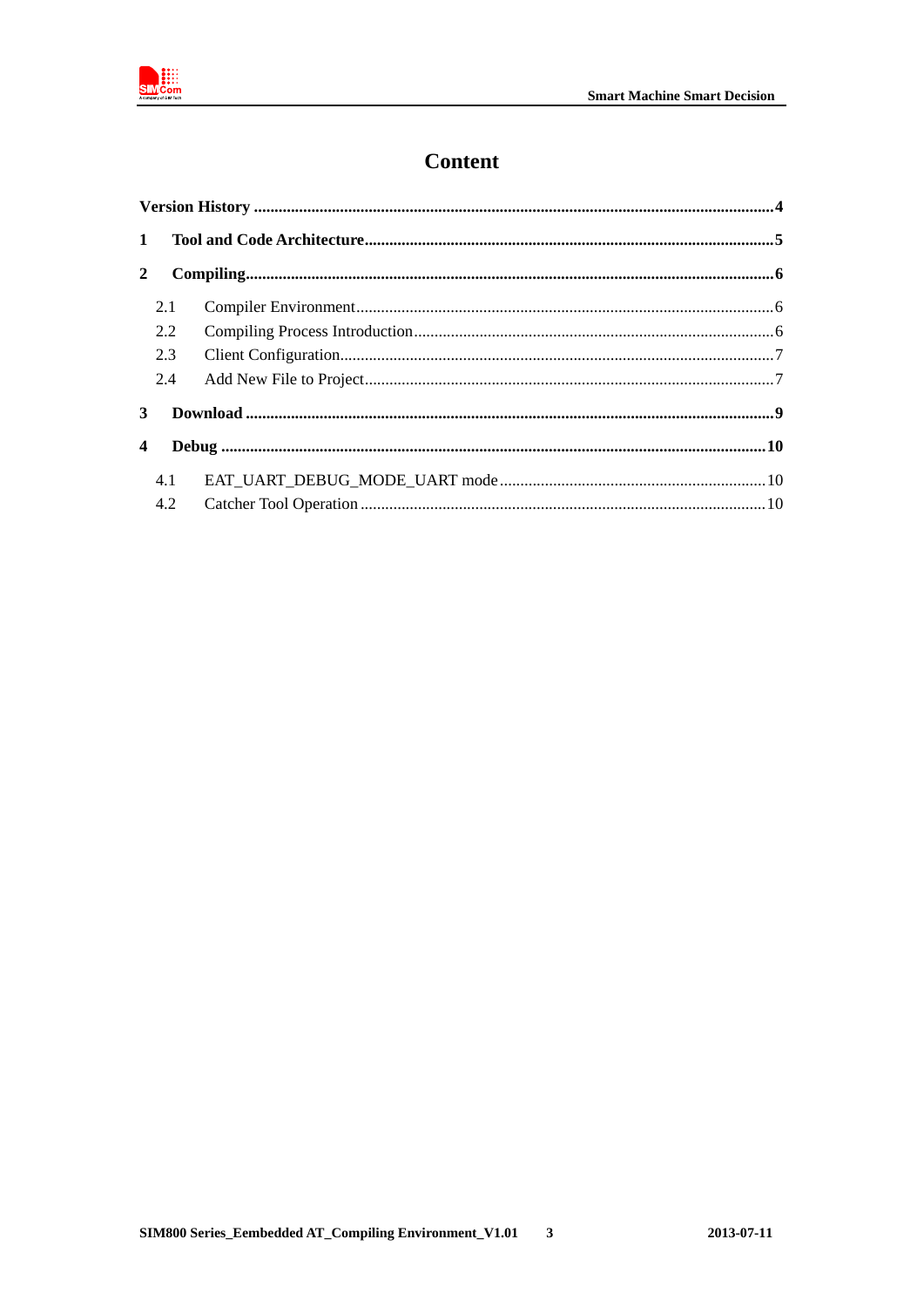

# **Content**

| $\mathbf{1}$            |     |  |
|-------------------------|-----|--|
| $\mathbf{2}$            |     |  |
|                         | 2.1 |  |
|                         | 2.2 |  |
|                         | 2.3 |  |
|                         | 2.4 |  |
| 3                       |     |  |
| $\overline{\mathbf{4}}$ |     |  |
|                         | 4.1 |  |
|                         | 4.2 |  |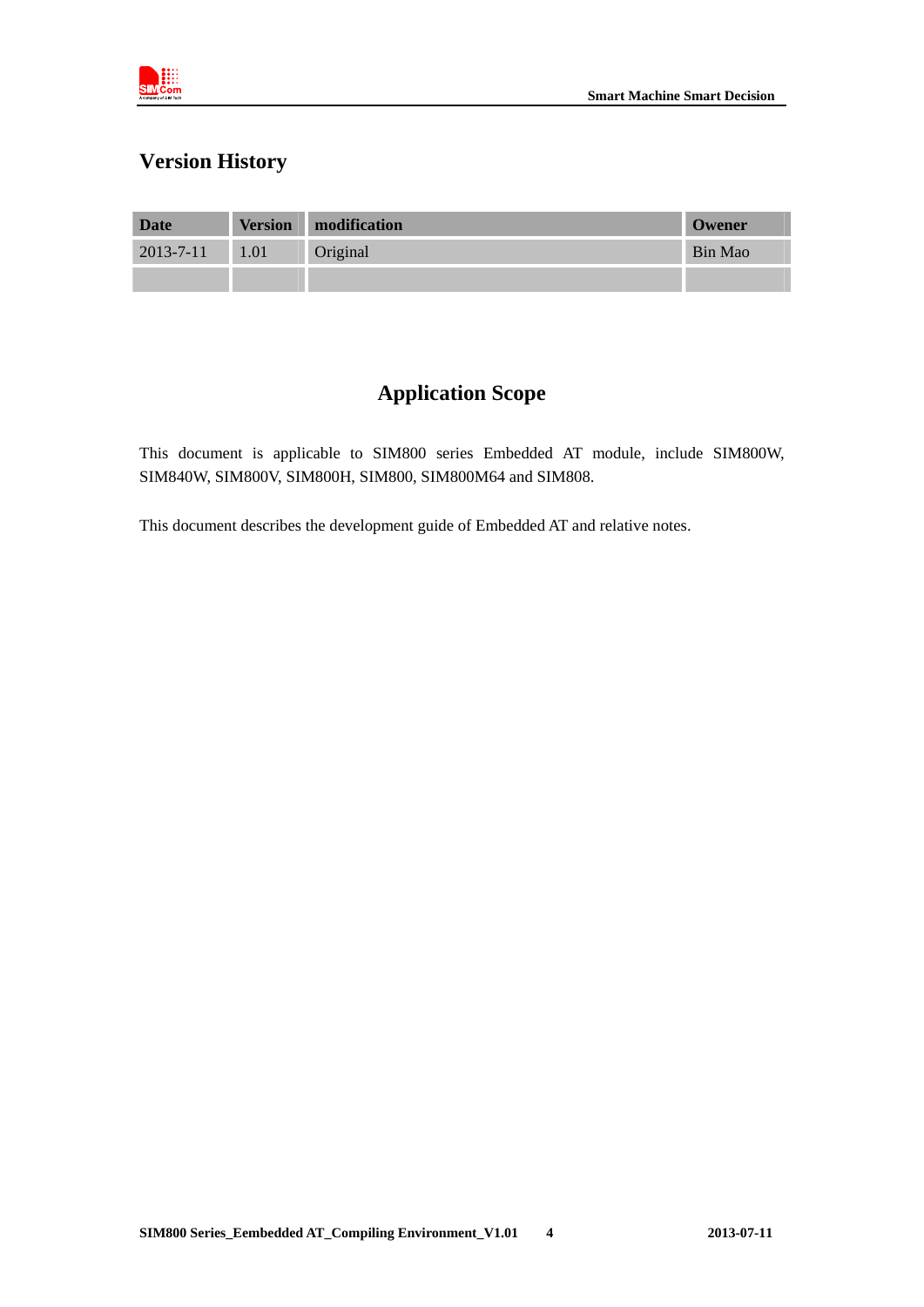

## **Version History**

| Date            | <b>Version</b> | modification | Owener  |
|-----------------|----------------|--------------|---------|
| $2013 - 7 - 11$ | 1.01           | Original     | Bin Mao |
|                 |                |              |         |

# **Application Scope**

This document is applicable to SIM800 series Embedded AT module, include SIM800W, SIM840W, SIM800V, SIM800H, SIM800, SIM800M64 and SIM808.

This document describes the development guide of Embedded AT and relative notes.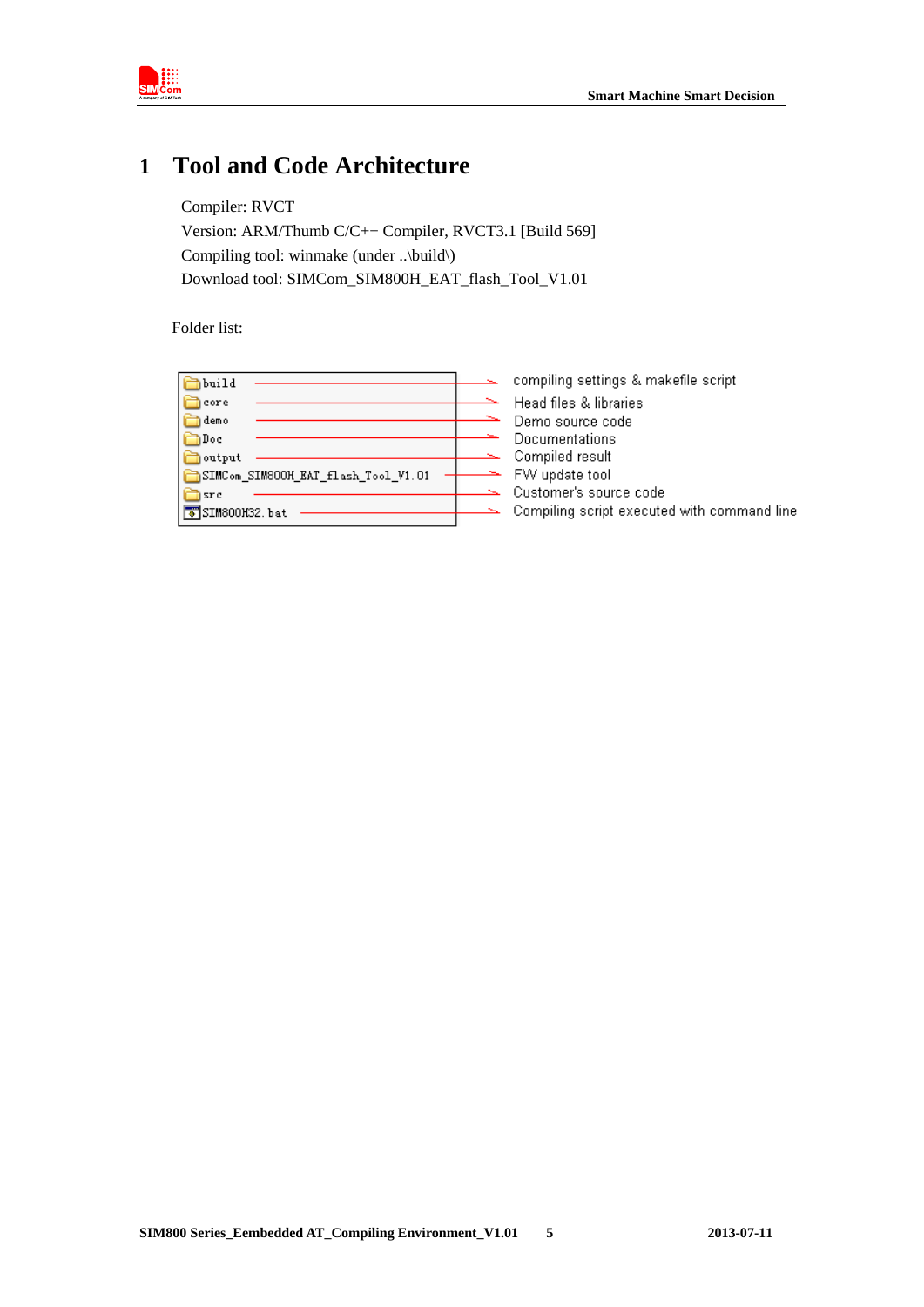

# **1 Tool and Code Architecture**

Compiler: RVCT Version: ARM/Thumb C/C++ Compiler, RVCT3.1 [Build 569] Compiling tool: winmake (under ..\build\) Download tool: SIMCom\_SIM800H\_EAT\_flash\_Tool\_V1.01

Folder list:

| build                               | compiling settings & makefile script        |
|-------------------------------------|---------------------------------------------|
| core                                | Head files & libraries                      |
| demo                                | Demo source code                            |
| Doc                                 | Documentations                              |
| output                              | Compiled result                             |
| SIMCom_SIM800H_EAT_flash_Tool_V1.01 | FW update tool                              |
| src                                 | Customer's source code                      |
| SIM800H32.bat                       | Compiling script executed with command line |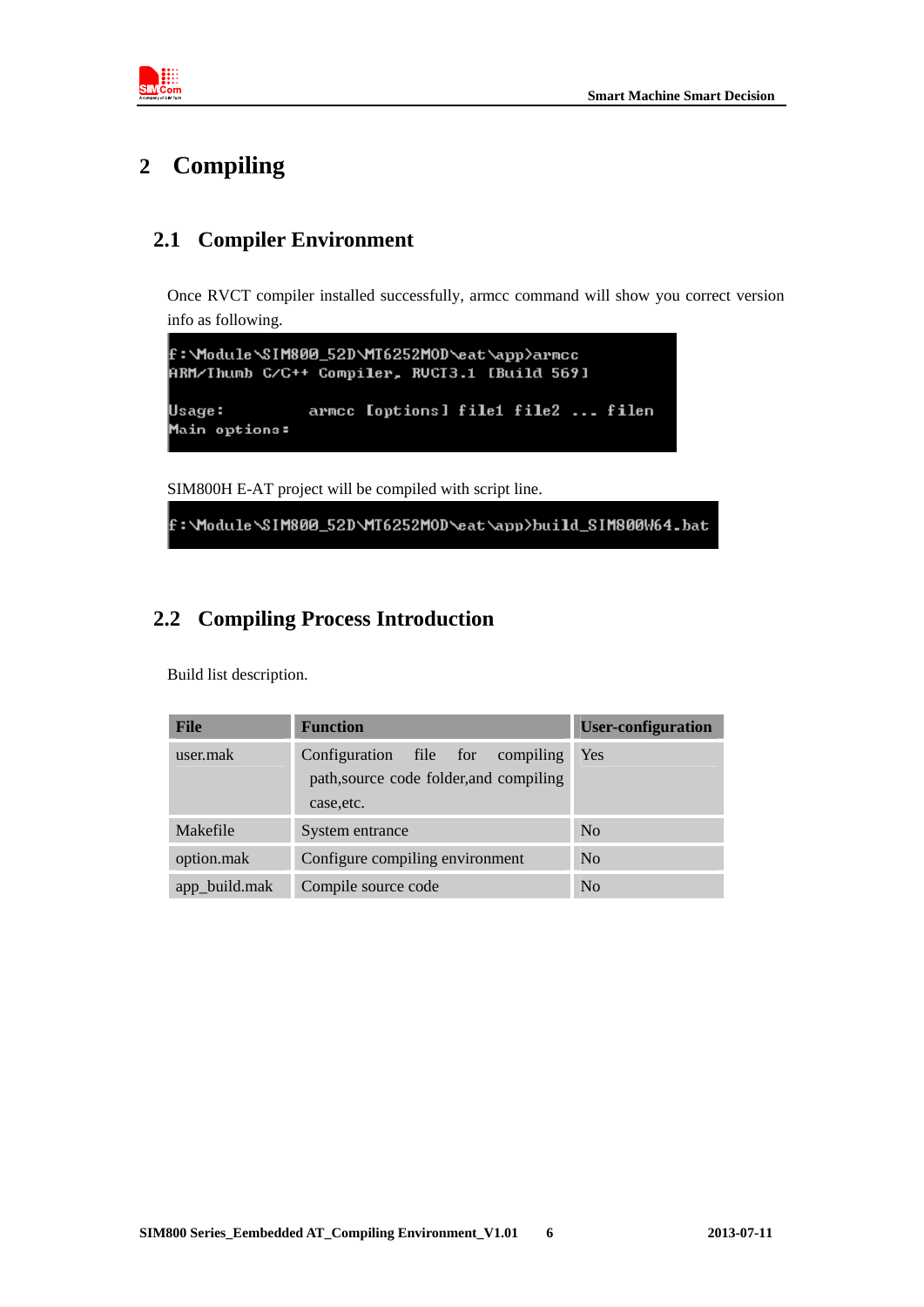

# **2 Compiling**

## **2.1 Compiler Environment**

Once RVCT compiler installed successfully, armcc command will show you correct version info as following.

```
f:\Module\SIM800_52D\MT6252MOD\eat\app>armcc
ARM/Ihumb C/C++ Compiler, RUCI3.1 [Build 569]
               armcc [options] file1 file2 ... filen
Usage:
Main options:
```
SIM800H E-AT project will be compiled with script line.

f:\Module\SIM800\_52D\MT6252MOD\eat\app>build\_SIM800W64.bat

## **2.2 Compiling Process Introduction**

Build list description.

| <b>File</b>   | <b>Function</b>                                                                           | <b>User-configuration</b> |
|---------------|-------------------------------------------------------------------------------------------|---------------------------|
| user.mak      | Configuration file for compiling<br>path, source code folder, and compiling<br>case, etc. | Yes                       |
| Makefile      | System entrance                                                                           | No                        |
| option.mak    | Configure compiling environment                                                           | No                        |
| app_build.mak | Compile source code                                                                       | No                        |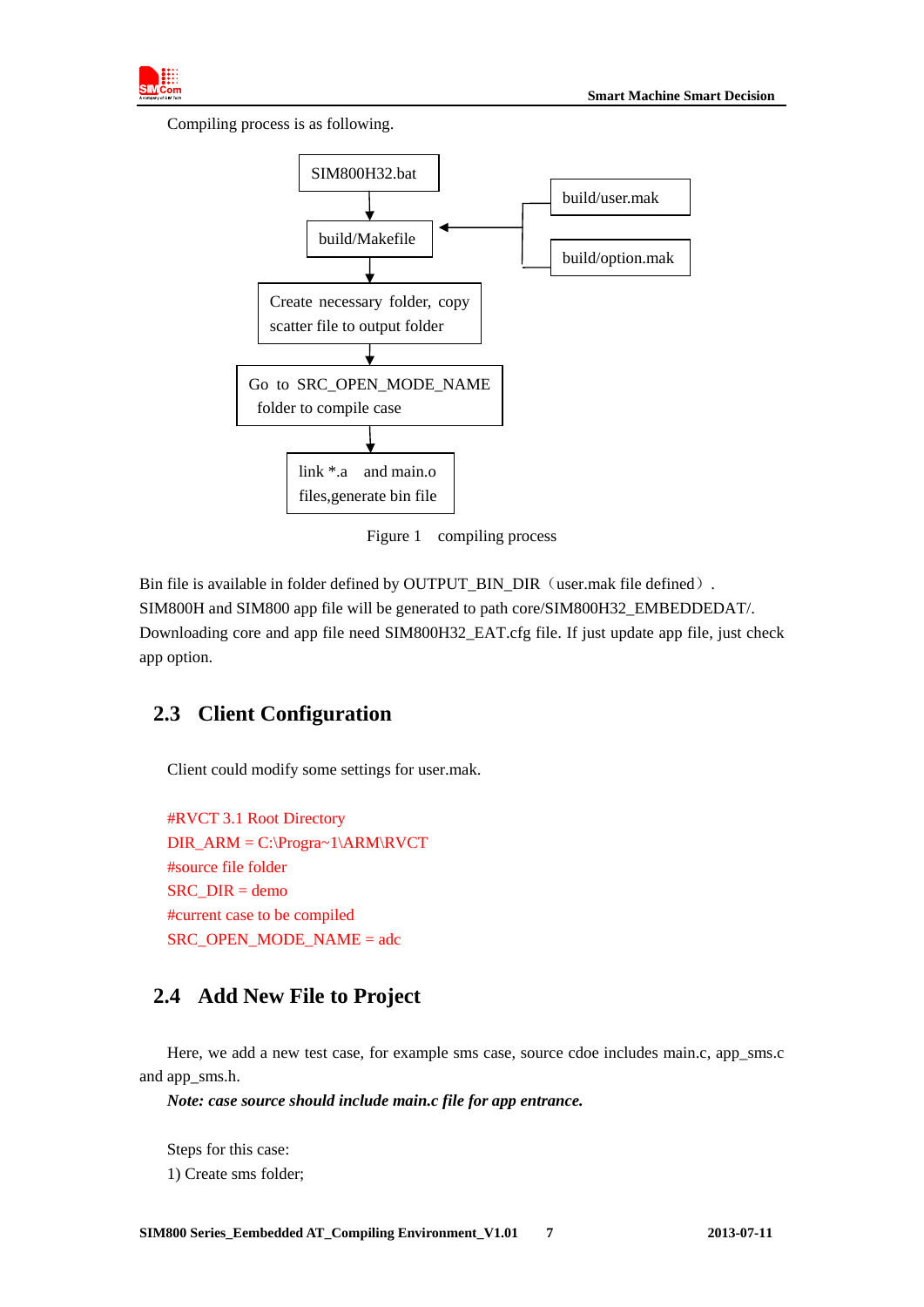

Compiling process is as following.



Figure 1 compiling process

Bin file is available in folder defined by OUTPUT\_BIN\_DIR (user.mak file defined). SIM800H and SIM800 app file will be generated to path core/SIM800H32\_EMBEDDEDAT/. Downloading core and app file need SIM800H32\_EAT.cfg file. If just update app file, just check app option.

## **2.3 Client Configuration**

Client could modify some settings for user.mak.

```
#RVCT 3.1 Root Directory 
DIR_ARM = C:\Progra~1\ARM\RVCT 
#source file folder 
SRC_DIR = demo
#current case to be compiled 
SRC_OPEN_MODE_NAME = adc
```
## **2.4 Add New File to Project**

Here, we add a new test case, for example sms case, source cdoe includes main.c, app\_sms.c and app\_sms.h.

*Note: case source should include main.c file for app entrance.* 

Steps for this case: 1) Create sms folder;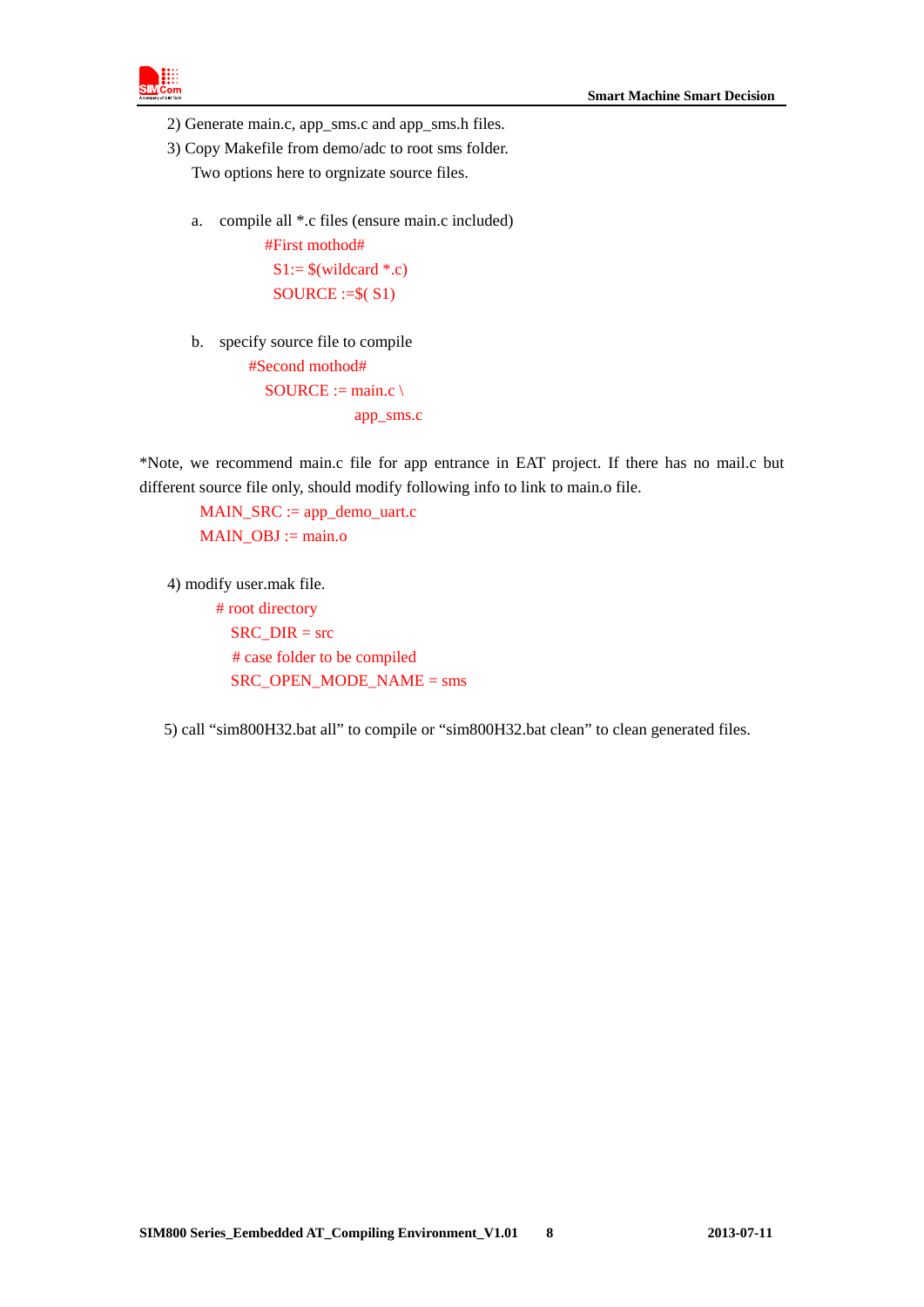

- 2) Generate main.c, app\_sms.c and app\_sms.h files.
- 3) Copy Makefile from demo/adc to root sms folder.

Two options here to orgnizate source files.

a. compile all \*.c files (ensure main.c included)

#First mothod#  $S1:=$  \$(wildcard \*.e)  $SOURCE := $(S1)$ 

b. specify source file to compile #Second mothod#

 $SOURCE := main.c \setminus$ app\_sms.c

\*Note, we recommend main.c file for app entrance in EAT project. If there has no mail.c but different source file only, should modify following info to link to main.o file.

MAIN\_SRC := app\_demo\_uart.c MAIN  $OBJ := \text{main.}$ o

4) modify user.mak file.

 # root directory  $SRC$  DIR = src # case folder to be compiled SRC\_OPEN\_MODE\_NAME = sms

5) call "sim800H32.bat all" to compile or "sim800H32.bat clean" to clean generated files.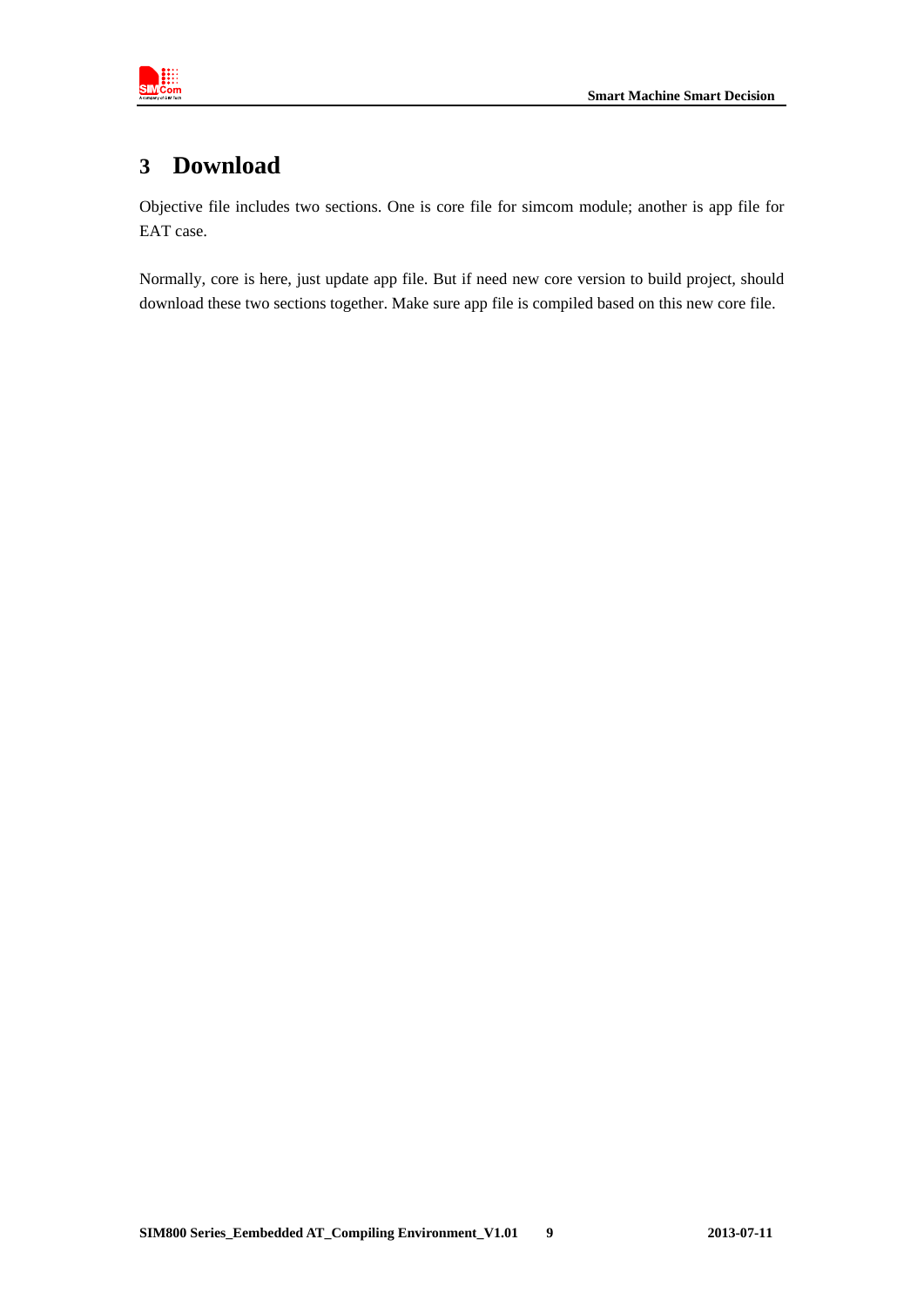

# **3 Download**

Objective file includes two sections. One is core file for simcom module; another is app file for EAT case.

Normally, core is here, just update app file. But if need new core version to build project, should download these two sections together. Make sure app file is compiled based on this new core file.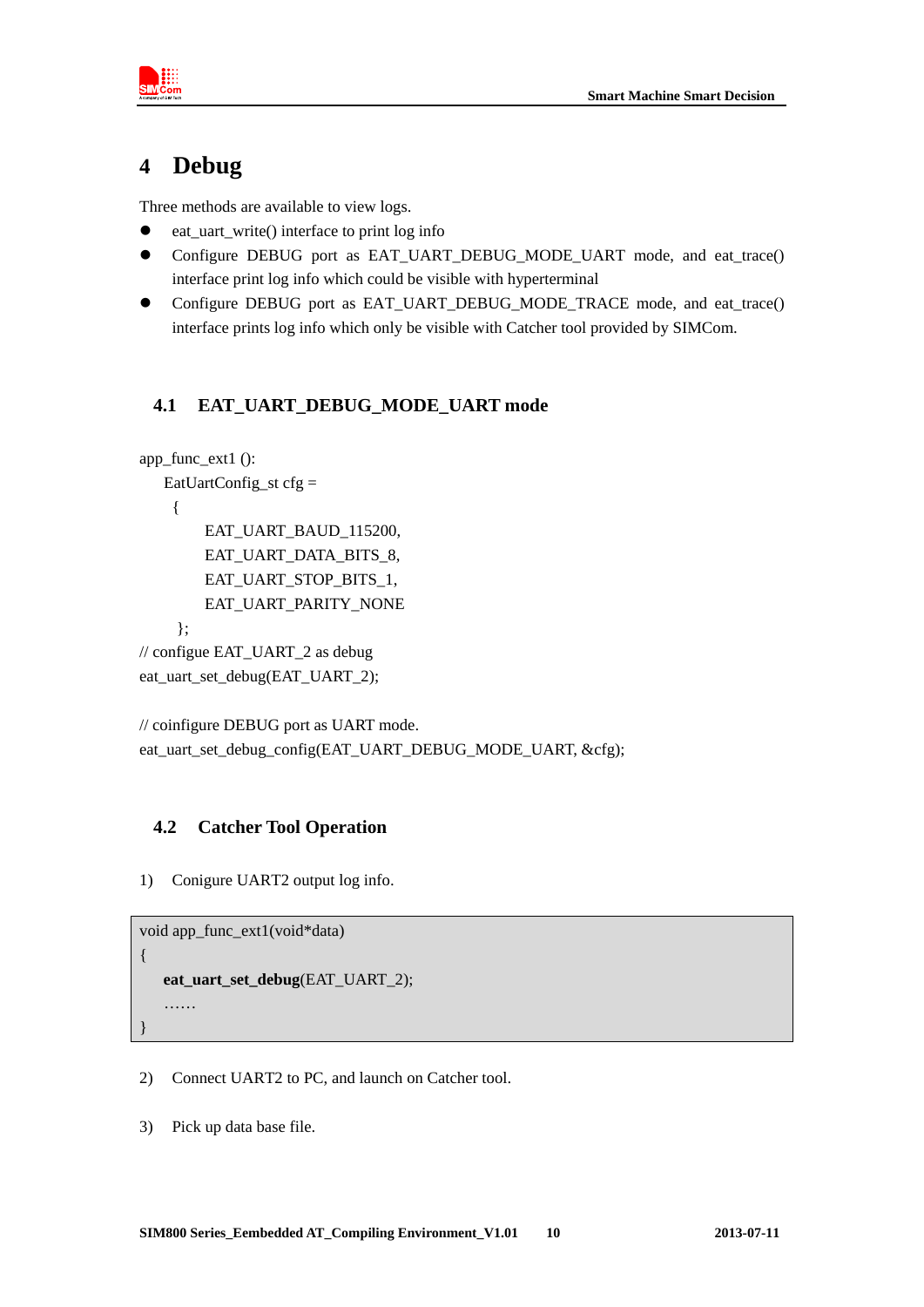

# **4 Debug**

Three methods are available to view logs.

- eat\_uart\_write() interface to print log info
- Configure DEBUG port as EAT\_UART\_DEBUG\_MODE\_UART mode, and eat\_trace() interface print log info which could be visible with hyperterminal
- Configure DEBUG port as EAT\_UART\_DEBUG\_MODE\_TRACE mode, and eat\_trace() interface prints log info which only be visible with Catcher tool provided by SIMCom.

#### **4.1 EAT\_UART\_DEBUG\_MODE\_UART mode**

```
app_func_ext1 (): 
    EatUartConfig_st cfg = 
     { 
         EAT_UART_BAUD_115200, 
         EAT_UART_DATA_BITS_8, 
         EAT_UART_STOP_BITS_1, 
         EAT_UART_PARITY_NONE 
     }; 
// configue EAT_UART_2 as debug 
eat_uart_set_debug(EAT_UART_2);
```

```
// coinfigure DEBUG port as UART mode. 
eat uart set debug config(EAT_UART_DEBUG_MODE_UART, &cfg);
```
#### **4.2 Catcher Tool Operation**

1) Conigure UART2 output log info.

```
void app_func_ext1(void*data)
```

```
eat_uart_set_debug(EAT_UART_2);
```

```
…… 
}
```
{

- 2) Connect UART2 to PC, and launch on Catcher tool.
- 3) Pick up data base file.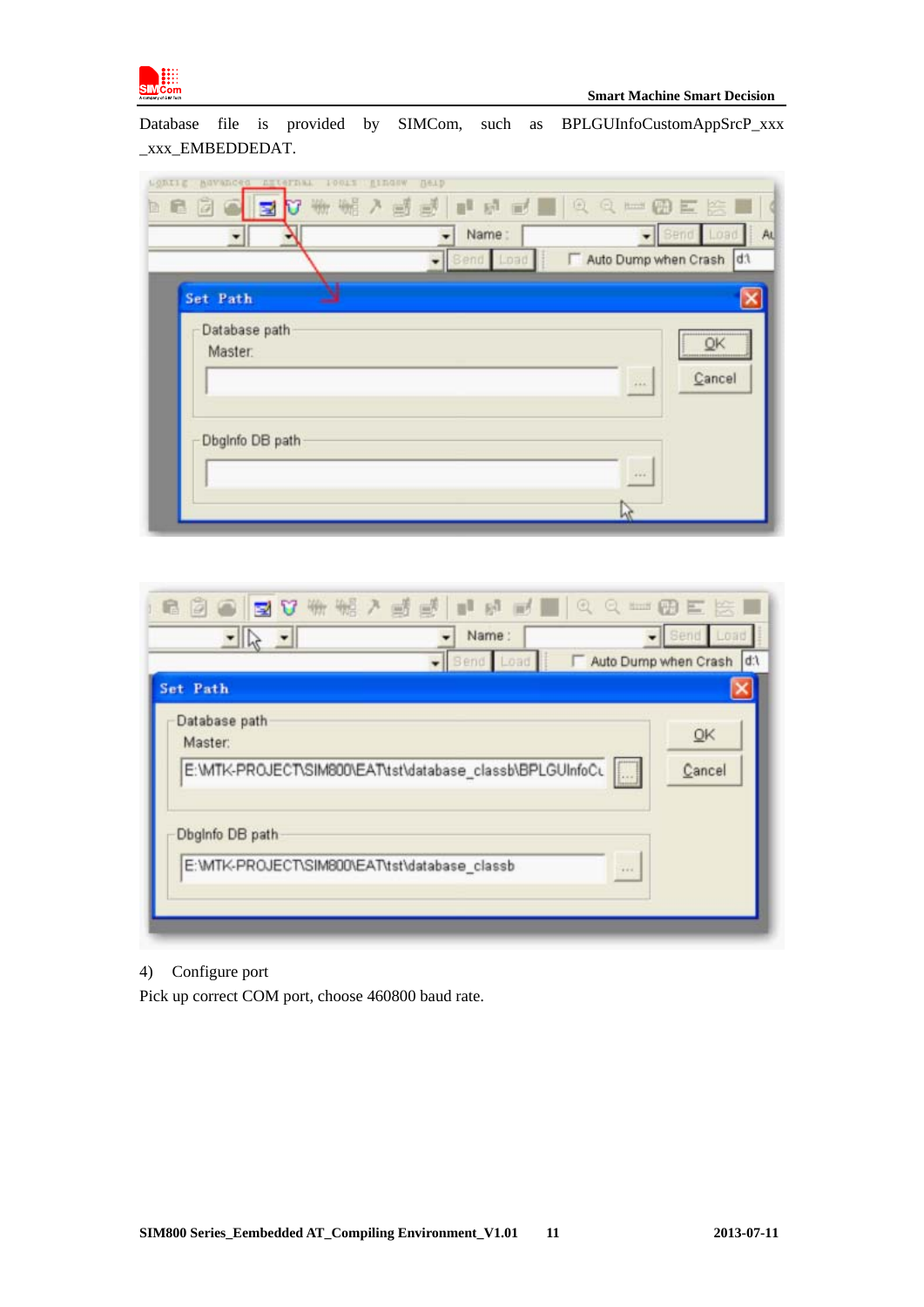

Database file is provided by SIMCom, such as BPLGUInfoCustomAppSrcP\_xxx \_xxx\_EMBEDDEDAT.

| ASVanced Alternak<br>10013<br>LODILE<br>IE. | <b>ILLEGIW</b><br><b>Berb</b><br>李素之味味,是每日,不为了每时所<br>Name: |                         | L000   |
|---------------------------------------------|------------------------------------------------------------|-------------------------|--------|
| Set Path<br>Database path                   | $\bullet$ Bend Load                                        | Auto Dump when Crash d1 |        |
| Master.                                     |                                                            | $+0.0$                  | Cancel |
| Dbglnfo DB path                             |                                                            |                         |        |
|                                             |                                                            | 444.6                   |        |

| 6 8 8 8 3 V ₩ ₩ 7 5 5 1 8 5 1 9 0 0 = 8 E S 1<br>$\frac{1}{\sqrt{1-\frac{1}{2}}}$ | Name:<br>Bend Load | Send Load<br>Auto Dump when Crash  d:\ |
|-----------------------------------------------------------------------------------|--------------------|----------------------------------------|
| Set Path                                                                          |                    |                                        |
| Database path<br>Master:                                                          |                    | QK                                     |
| E:\MTK-PROJECT\SIM800\EAT\tst\database_classb\BPLGUInfoCL []                      |                    | Cancel                                 |
| Dbglnfo DB path                                                                   |                    |                                        |
| E:\MTK-PROJECT\SIM800\EAT\tst\database_classb                                     |                    | $-444$                                 |

#### 4) Configure port

Pick up correct COM port, choose 460800 baud rate.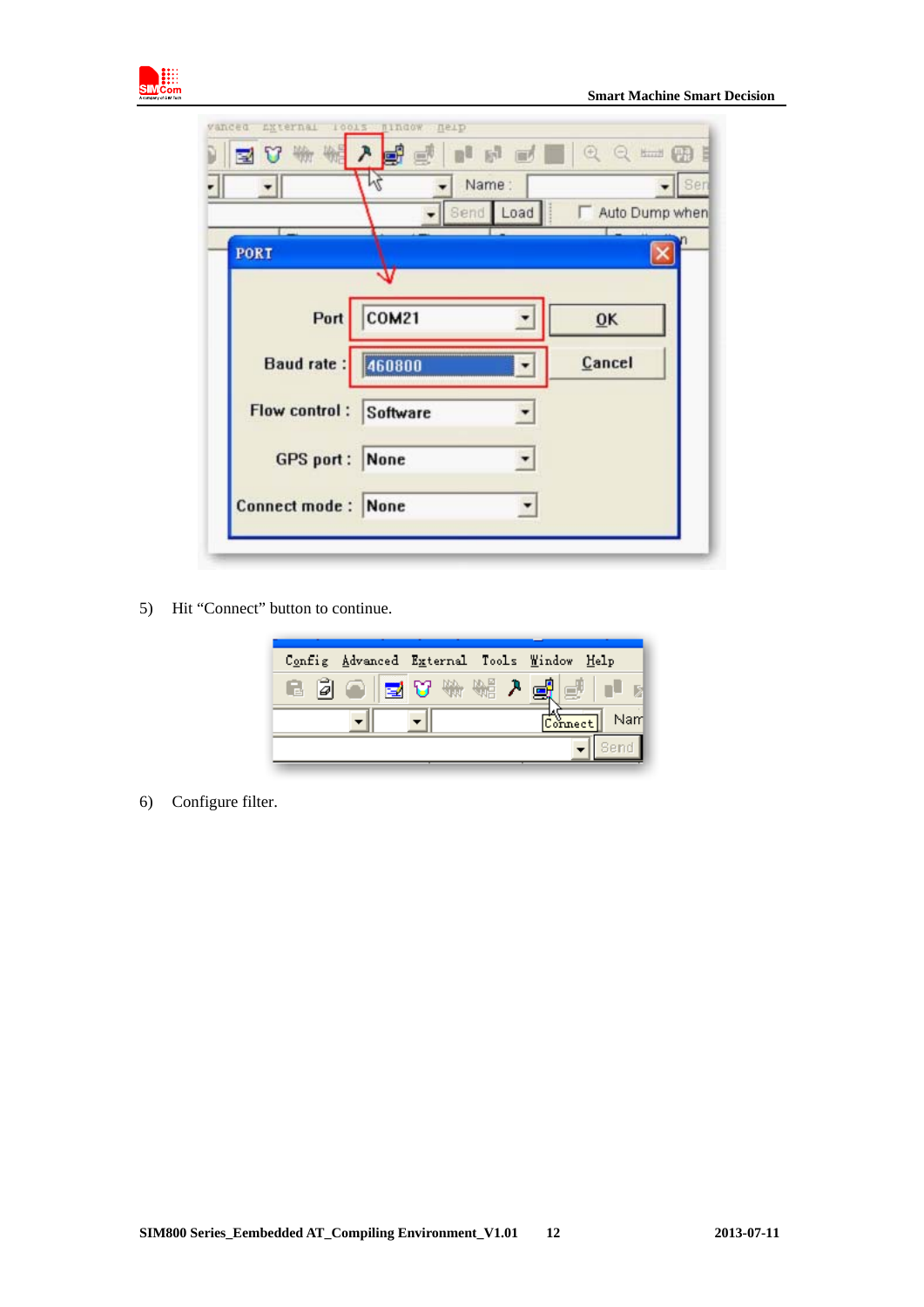

|                           | 画            | IN JOQ SON     |
|---------------------------|--------------|----------------|
|                           | Name:        | Sen            |
|                           | Send Load    | Auto Dump when |
| PORT                      |              |                |
|                           |              |                |
| Port                      | <b>COM21</b> | 0K             |
| Baud rate:                | 460800       | Cancel         |
| Flow control: Software    |              |                |
| <b>GPS</b> port:          | None         |                |
| <b>Connect mode: None</b> |              |                |

5) Hit "Connect" button to continue.

| Config Advanced External Tools Window Help |  |  |             |
|--------------------------------------------|--|--|-------------|
| B 2 ● B V ₩ ₩ ♪ B 5 P B                    |  |  |             |
|                                            |  |  | Connect Nam |
|                                            |  |  |             |

6) Configure filter.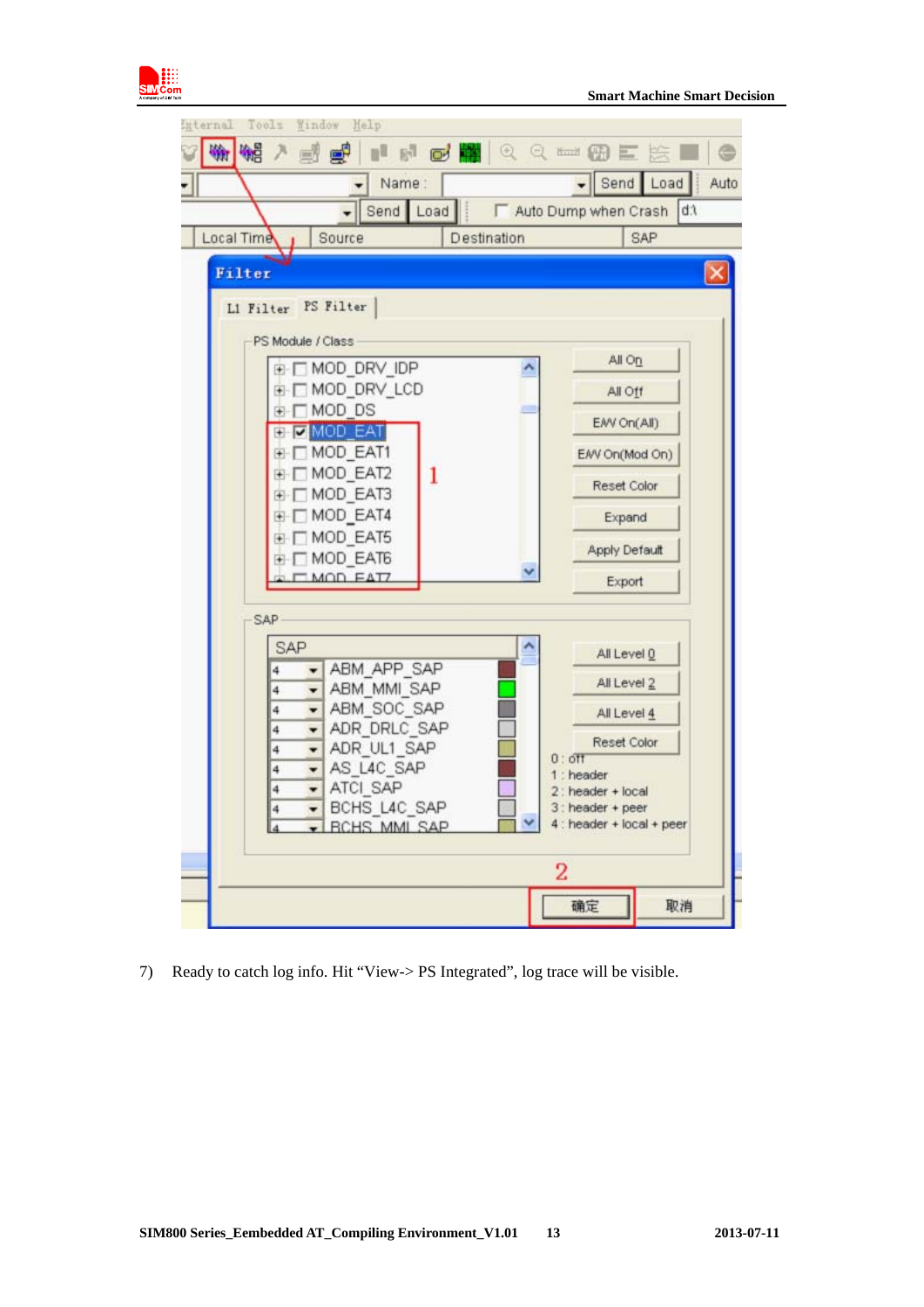

| External Tools Window Help                                           |                                    |
|----------------------------------------------------------------------|------------------------------------|
|                                                                      | 李磊 7 山風 ニュ 風麗 8 8 … 田川防<br>⊜       |
| Name:                                                                | Send Load<br>Auto                  |
| Send Load                                                            | ddi<br>Auto Dump when Crash        |
| Local Time<br>Source                                                 | Destination<br>SAP                 |
|                                                                      |                                    |
| <b>Filter</b>                                                        |                                    |
| L1 Filter PS Filter                                                  |                                    |
| PS Module / Class                                                    |                                    |
| E MOD_DRV_IDP                                                        | All On                             |
| E- MOD_DRV_LCD                                                       | All Off                            |
| + MOD DS<br><b>E V MOD EAT</b>                                       | EAV On(All)                        |
| E MOD_EAT1                                                           | EAV On(Mod On)                     |
| + MOD_EAT2<br>1                                                      |                                    |
| ⊕ MOD_EAT3                                                           | Reset Color                        |
| ⊕ MOD_EAT4                                                           | Expand                             |
| E MOD_EAT5<br>+ MOD EAT6                                             | Apply Default                      |
| <b>I MOD FATZ</b>                                                    | Export                             |
|                                                                      |                                    |
| <b>SAP</b>                                                           |                                    |
| SAP                                                                  | All Level 0                        |
| ABM APP SAP<br>4<br>ABM MMI SAP<br>4                                 | All Level 2                        |
| ABM_SOC_SAP<br>4                                                     | All Level 4                        |
| ADR_DRLC_SAP<br>4                                                    | Reset Color                        |
| ADR_UL1_SAP<br>$\overline{\phantom{a}}$<br>4<br>AS_L4C_SAP<br>4<br>۳ | $0:$ off                           |
| ATCI SAP<br>4<br>$\overline{\phantom{0}}$                            | $1:$ header<br>$2:$ header + local |
| BCHS_L4C_SAP<br>4<br>$\cdot$                                         | $3:$ header + peer                 |
| <b>RCHS MML SAP</b>                                                  | 4 : header + local + peer          |
|                                                                      | 2                                  |
|                                                                      |                                    |
|                                                                      | 确定<br>取消                           |

7) Ready to catch log info. Hit "View-> PS Integrated", log trace will be visible.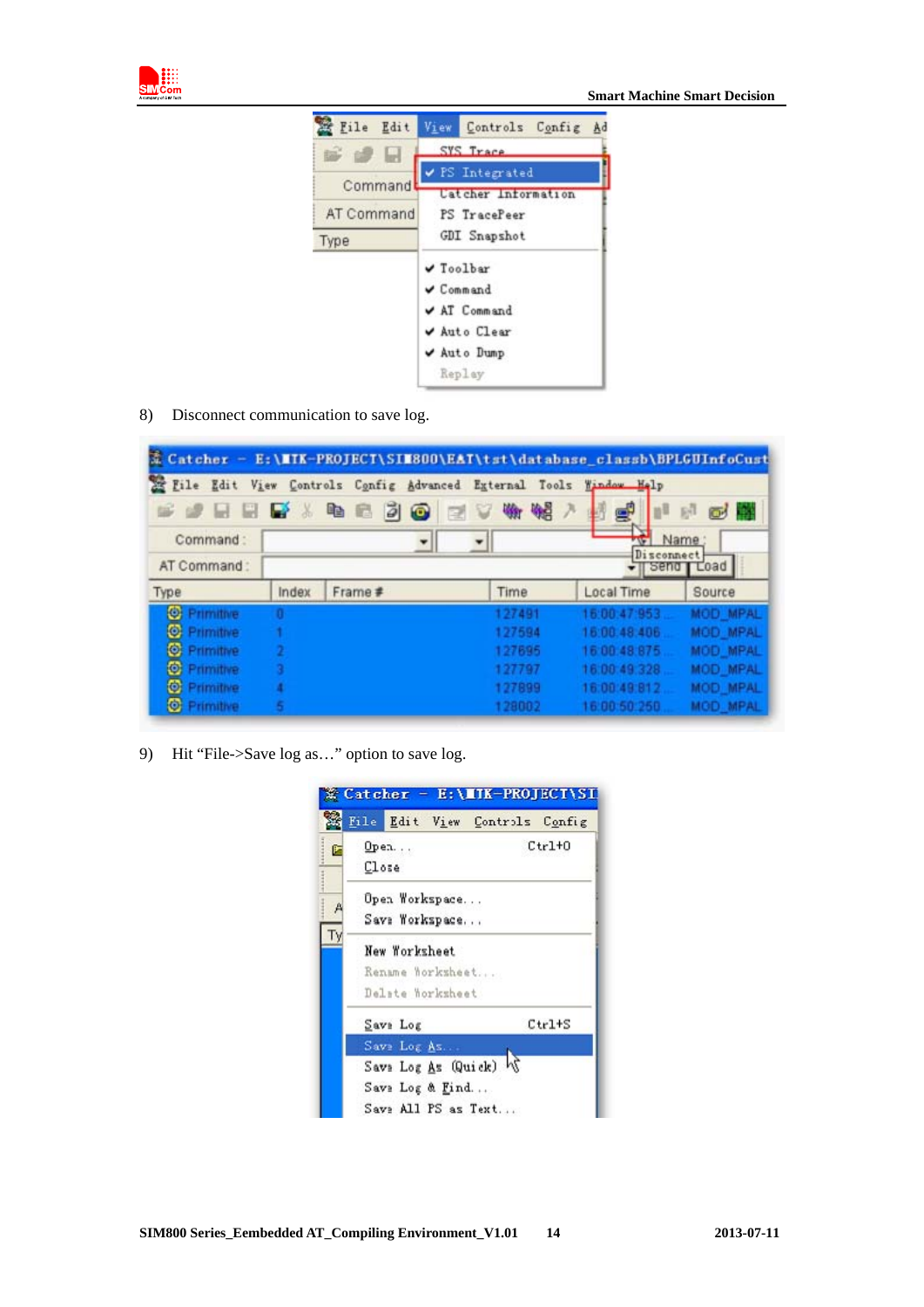



8) Disconnect communication to save log.

| $x$ Catcher -      |       | E:\MIK-PROJECT\SIM800\EAT\tst\database_classb\BPLGUInfoCust        |        |                    |                 |
|--------------------|-------|--------------------------------------------------------------------|--------|--------------------|-----------------|
|                    |       | File Edit View Controls Config Advanced External Tools Window Holp |        |                    |                 |
|                    |       | 5 2 5 5 5 % <sup>6</sup> 2 3 0                                     | 三十分呢?  |                    | $\sigma$<br>园   |
| Command:           |       |                                                                    |        |                    | Name:           |
| AT Command:        |       |                                                                    |        | Disconnect<br>sena | Load            |
| Type               | Index | Frame #                                                            | Time   | Local Time         | Source          |
| C Primitive        | п     |                                                                    | 127491 | 16:00:47:953       | <b>MOD MPAL</b> |
| C. Primitive       |       |                                                                    | 127594 | 15:00.48.406       | MOD MPAL        |
| C: Primitive       |       |                                                                    | 127695 | 16:00:48:875       | MOD_MPAL        |
| <b>O</b> Primitive |       |                                                                    | 127797 | 16:00:49:328       | <b>MOD MPAL</b> |
| C Primitive        |       |                                                                    | 127899 | 16:00:49:912       | <b>MOD MPAL</b> |
| C Primitive        |       |                                                                    | 128002 | 16:00:50:250.      | <b>MOD MPAL</b> |

9) Hit "File->Save log as..." option to save log.

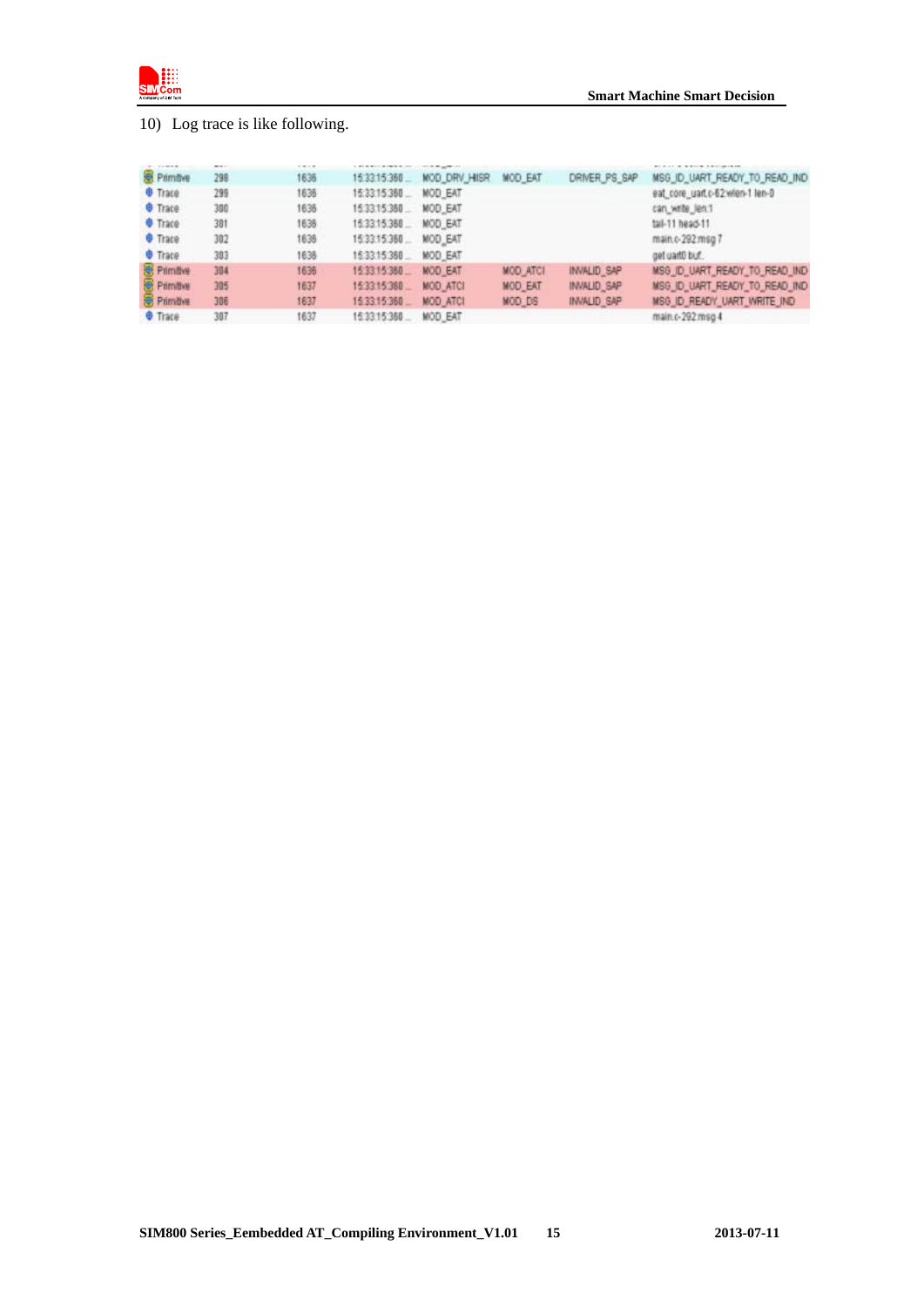

## 10) Log trace is like following.

| 120928-002         |     | 1212 |               |                 |                 |                    |                                 |
|--------------------|-----|------|---------------|-----------------|-----------------|--------------------|---------------------------------|
| Primitive          | 298 | 1636 | 15:33:15:360. | MOD DRV HISR    | <b>MOD EAT</b>  | DRIVER PS SAP      | MSG_ID_UART_READY_TO_READ_IND   |
| <b>O</b> Trace     | 299 | 1636 | 15:33:15:360  | MOD EAT         |                 |                    | eat core uart.c-62 wien-1 len-0 |
| <b>O</b> Trace     | 300 | 1636 | 15:33:15:380  | MOD EAT         |                 |                    | can write len.1                 |
| <b>O</b> Trace     | 381 | 1638 | 16:33:15:380  | MOD EAT         |                 |                    | tail-11 head-11                 |
| <b>O</b> Trace     | 302 | 1636 | 15:33:15:360  | MOD EAT         |                 |                    | main.c-292.msg 7                |
| <b>O</b> Trace     | 383 | 1638 | 15:33:15:350  | MOD EAT         |                 |                    | get uant0 buf.                  |
| <b>Rimbye</b>      | 384 | 1636 | 15:33:15:360  | <b>MOD EAT</b>  | <b>MOD ATCI</b> | <b>INVALID SAP</b> | MSG ID UART READY TO READ IND   |
| <b>C</b> Primitive | 305 | 1637 | 15:33:15:380  | <b>MOD ATCI</b> | MOD EAT         | <b>INVALID SAP</b> | MSG_ID_UART_READY_TO_READ_IND   |
| <b>O</b> Primitive | 306 | 1637 | 15:33.15:360  | <b>MOD ATCI</b> | MOD DS          | <b>INVALID SAP</b> | MSG_ID_READY_UART_WRITE_IND     |
| <b>O</b> Trace     | 307 | 1637 | 15:33:15:360. | MOD EAT         |                 |                    | main.c-292 msg 4                |